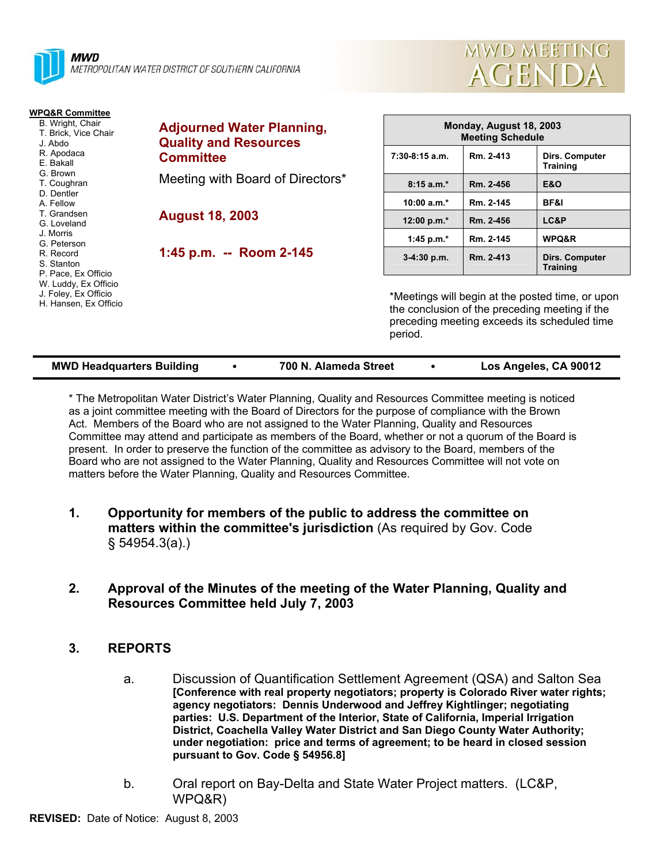



| <b>WPQ&amp;R Committee</b><br>B. Wright, Chair<br>T. Brick, Vice Chair<br>J. Abdo<br>R. Apodaca<br>E. Bakall<br>G. Brown<br>T. Coughran<br>D. Dentler<br>A. Fellow<br>T. Grandsen<br>G. Loveland<br>J. Morris<br>G. Peterson<br>R. Record<br>S. Stanton<br>P. Pace, Ex Officio<br>W. Luddy, Ex Officio<br>J. Foley, Ex Officio<br>H. Hansen, Ex Officio | <b>Adjourned Water Planning,</b><br><b>Quality and Resources</b><br><b>Committee</b><br>Meeting with Board of Directors* | Monday, August 18, 2003<br><b>Meeting Schedule</b>                                                                                                            |           |                                   |  |
|---------------------------------------------------------------------------------------------------------------------------------------------------------------------------------------------------------------------------------------------------------------------------------------------------------------------------------------------------------|--------------------------------------------------------------------------------------------------------------------------|---------------------------------------------------------------------------------------------------------------------------------------------------------------|-----------|-----------------------------------|--|
|                                                                                                                                                                                                                                                                                                                                                         |                                                                                                                          | 7:30-8:15 a.m.                                                                                                                                                | Rm. 2-413 | Dirs. Computer<br>Training        |  |
|                                                                                                                                                                                                                                                                                                                                                         |                                                                                                                          | $8:15a.m.*$                                                                                                                                                   | Rm. 2-456 | <b>E&amp;O</b>                    |  |
|                                                                                                                                                                                                                                                                                                                                                         | <b>August 18, 2003</b><br>1:45 p.m. -- Room 2-145                                                                        | 10:00 $a.m.*$                                                                                                                                                 | Rm. 2-145 | BF&I                              |  |
|                                                                                                                                                                                                                                                                                                                                                         |                                                                                                                          | 12:00 p.m.*                                                                                                                                                   | Rm. 2-456 | LC&P                              |  |
|                                                                                                                                                                                                                                                                                                                                                         |                                                                                                                          | 1:45 p.m. $*$                                                                                                                                                 | Rm. 2-145 | WPQ&R                             |  |
|                                                                                                                                                                                                                                                                                                                                                         |                                                                                                                          | $3-4:30$ p.m.                                                                                                                                                 | Rm. 2-413 | Dirs. Computer<br><b>Training</b> |  |
|                                                                                                                                                                                                                                                                                                                                                         |                                                                                                                          | *Meetings will begin at the posted time, or upon<br>the conclusion of the preceding meeting if the<br>preceding meeting exceeds its scheduled time<br>period. |           |                                   |  |

| <b>MWD Headquarters Building</b> | 700 N. Alameda Street | Los Angeles, CA 90012 |
|----------------------------------|-----------------------|-----------------------|

\* The Metropolitan Water District's Water Planning, Quality and Resources Committee meeting is noticed as a joint committee meeting with the Board of Directors for the purpose of compliance with the Brown Act. Members of the Board who are not assigned to the Water Planning, Quality and Resources Committee may attend and participate as members of the Board, whether or not a quorum of the Board is present. In order to preserve the function of the committee as advisory to the Board, members of the Board who are not assigned to the Water Planning, Quality and Resources Committee will not vote on matters before the Water Planning, Quality and Resources Committee.

- **1. Opportunity for members of the public to address the committee on matters within the committee's jurisdiction** (As required by Gov. Code § 54954.3(a).)
- **2. Approval of the Minutes of the meeting of the Water Planning, Quality and Resources Committee held July 7, 2003**

# **3. REPORTS**

- a. Discussion of Quantification Settlement Agreement (QSA) and Salton Sea **[Conference with real property negotiators; property is Colorado River water rights; agency negotiators: Dennis Underwood and Jeffrey Kightlinger; negotiating parties: U.S. Department of the Interior, State of California, Imperial Irrigation District, Coachella Valley Water District and San Diego County Water Authority; under negotiation: price and terms of agreement; to be heard in closed session pursuant to Gov. Code § 54956.8]**
- b. Oral report on Bay-Delta and State Water Project matters. (LC&P, WPQ&R)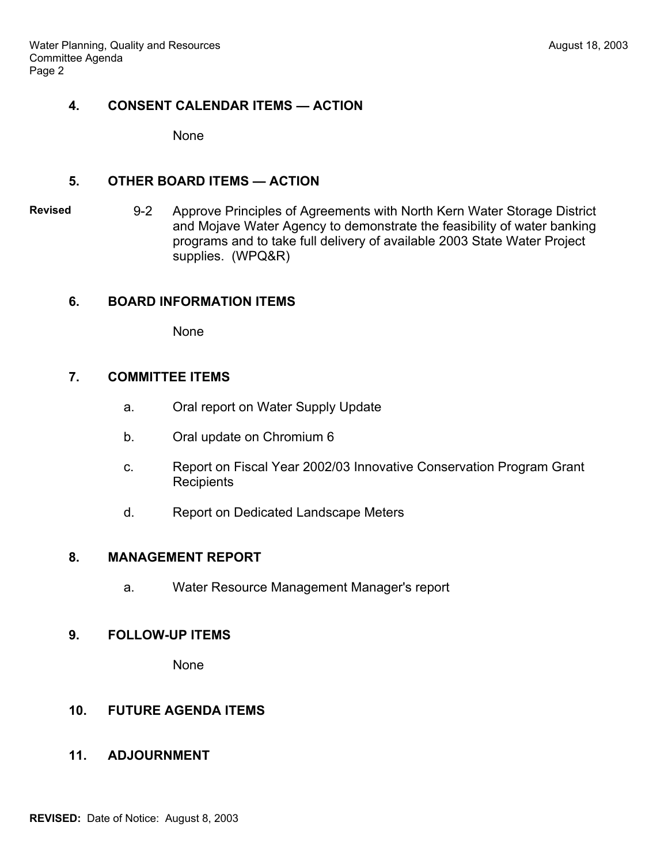## **4. CONSENT CALENDAR ITEMS — ACTION**

None

#### **5. OTHER BOARD ITEMS — ACTION**

**Revised** 9-2 Approve Principles of Agreements with North Kern Water Storage District and Mojave Water Agency to demonstrate the feasibility of water banking programs and to take full delivery of available 2003 State Water Project supplies. (WPQ&R)

### **6. BOARD INFORMATION ITEMS**

None

#### **7. COMMITTEE ITEMS**

- a. Oral report on Water Supply Update
- b. Oral update on Chromium 6
- c. Report on Fiscal Year 2002/03 Innovative Conservation Program Grant **Recipients**
- d. Report on Dedicated Landscape Meters

#### **8. MANAGEMENT REPORT**

a. Water Resource Management Manager's report

#### **9. FOLLOW-UP ITEMS**

None

# **10. FUTURE AGENDA ITEMS**

### **11. ADJOURNMENT**